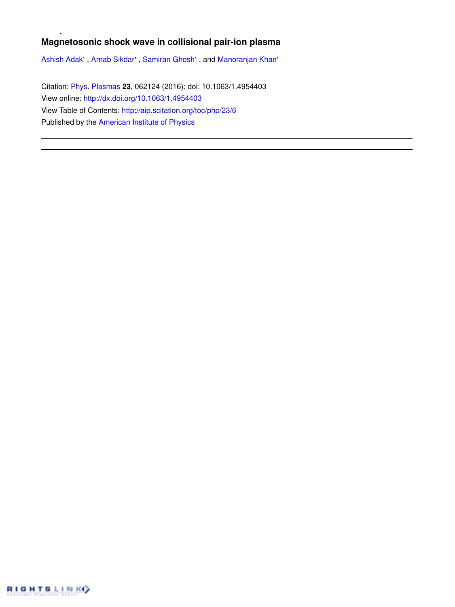# **Magnetosonic shock wave in collisional pair-ion plasma**

Ashish Adak', Arnab Sikdar', Samiran Ghosh', and Manoranjan Khan'

Citation: Phys. Plasmas **23**, 062124 (2016); doi: 10.1063/1.4954403 View online: http://dx.doi.org/10.1063/1.4954403 View Table of Contents: http://aip.scitation.org/toc/php/23/6 Published by the American Institute of Physics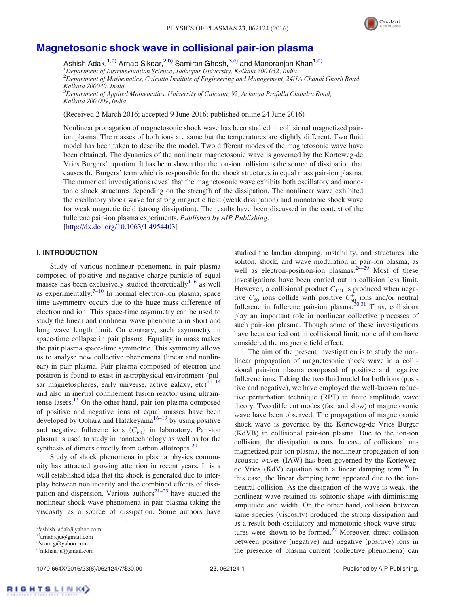

## Magnetosonic shock wave in collisional pair-ion plasma

Ashish Adak,<sup>1,a)</sup> Arnab Sikdar,<sup>2,b)</sup> Samiran Ghosh,<sup>3,c)</sup> and Manoranjan Khan<sup>1,d)</sup>  $1$ Department of Instrumentation Science, Jadavpur University, Kolkata 700 032, India <sup>2</sup>Department of Mathematics, Calcutta Institute of Engineering and Management, 24/1A Chandi Ghosh Road, Kolkata 700040, India  $^3$ Department of Applied Mathematics, University of Calcutta, 92, Acharya Prafulla Chandra Road, Kolkata 700 009, India

(Received 2 March 2016; accepted 9 June 2016; published online 24 June 2016)

Nonlinear propagation of magnetosonic shock wave has been studied in collisional magnetized pairion plasma. The masses of both ions are same but the temperatures are slightly different. Two fluid model has been taken to describe the model. Two different modes of the magnetosonic wave have been obtained. The dynamics of the nonlinear magnetosonic wave is governed by the Korteweg-de Vries Burgers' equation. It has been shown that the ion-ion collision is the source of dissipation that causes the Burgers' term which is responsible for the shock structures in equal mass pair-ion plasma. The numerical investigations reveal that the magnetosonic wave exhibits both oscillatory and monotonic shock structures depending on the strength of the dissipation. The nonlinear wave exhibited the oscillatory shock wave for strong magnetic field (weak dissipation) and monotonic shock wave for weak magnetic field (strong dissipation). The results have been discussed in the context of the fullerene pair-ion plasma experiments. Published by AIP Publishing. [http://dx.doi.org/10.1063/1.4954403]

## I. INTRODUCTION

Study of various nonlinear phenomena in pair plasma composed of positive and negative charge particle of equal masses has been exclusively studied theoretically<sup>1-6</sup> as well as experimentally. $7-10$  In normal electron-ion plasma, space time asymmetry occurs due to the huge mass difference of electron and ion. This space-time asymmetry can be used to study the linear and nonlinear wave phenomena in short and long wave length limit. On contrary, such asymmetry in space-time collapse in pair plasma. Equality in mass makes the pair plasma space-time symmetric. This symmetry allows us to analyse new collective phenomena (linear and nonlinear) in pair plasma. Pair plasma composed of electron and positron is found to exist in astrophysical environment (pulsar magnetospheres, early universe, active galaxy, etc) $11-14$ and also in inertial confinement fusion reactor using ultraintense lasers.<sup>15</sup> On the other hand, pair-ion plasma composed of positive and negative ions of equal masses have been developed by Oohara and Hatakeyama<sup>16–19</sup> by using positive and negative fullerene ions  $(C_{60}^{\pm})$  in laboratory. Pair-ion plasma is used to study in nanotechnology as well as for the synthesis of dimers directly from carbon allotropes.<sup>20</sup>

Study of shock phenomena in plasma physics community has attracted growing attention in recent years. It is a well established idea that the shock is generated due to interplay between nonlinearity and the combined effects of dissipation and dispersion. Various authors<sup>21–23</sup> have studied the nonlinear shock wave phenomena in pair plasma taking the viscosity as a source of dissipation. Some authors have studied the landau damping, instability, and structures like soliton, shock, and wave modulation in pair-ion plasma, as well as electron-positron-ion plasmas. $24-29$  Most of these investigations have been carried out in collision less limit. However, a collisional product  $C_{121}$  is produced when negative  $C_{60}^-$  ions collide with positive  $C_{60}^+$  ions and/or neutral fullerene in fullerene pair-ion plasma. $30,31$  Thus, collisions play an important role in nonlinear collective processes of such pair-ion plasma. Though some of these investigations have been carried out in collisional limit, none of them have considered the magnetic field effect.

The aim of the present investigation is to study the nonlinear propagation of magnetosonic shock wave in a collisional pair-ion plasma composed of positive and negative fullerene ions. Taking the two fluid model for both ions (positive and negative), we have employed the well-known reductive perturbation technique (RPT) in finite amplitude wave theory. Two different modes (fast and slow) of magnetosonic wave have been observed. The propagation of magnetosonic shock wave is governed by the Korteweg-de Vries Burger (KdVB) in collisional pair-ion plasma. Due to the ion-ion collision, the dissipation occurs. In case of collisional unmagnetized pair-ion plasma, the nonlinear propagation of ion acoustic waves (IAW) has been governed by the Kortewegde Vries (KdV) equation with a linear damping term.<sup>26</sup> In this case, the linear damping term appeared due to the ionneutral collision. As the dissipation of the wave is weak, the nonlinear wave retained its solitonic shape with diminishing amplitude and width. On the other hand, collision between same species (viscosity) produced the strong dissipation and as a result both oscillatory and monotonic shock wave structures were shown to be formed. $^{22}$  Moreover, direct collision between positive (negative) and negative (positive) ions in the presence of plasma current (collective phenomena) can

a)ashish\_adak@yahoo.com

b)arnabs.ju@gmail.com

c)sran\_g@yahoo.com

d)mkhan.ju@gmail.com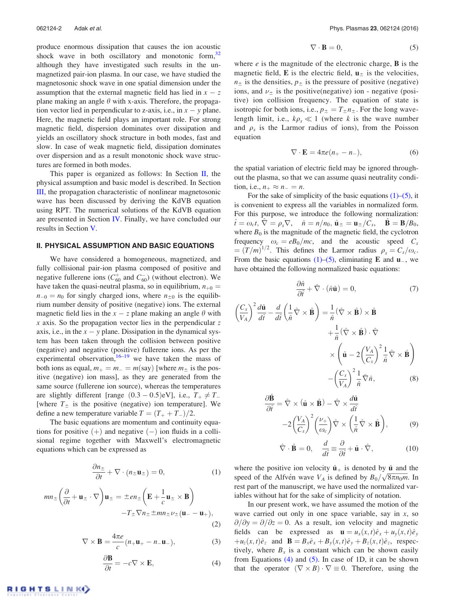produce enormous dissipation that causes the ion acoustic shock wave in both oscillatory and monotonic form, $32$ although they have investigated such results in the unmagnetized pair-ion plasma. In our case, we have studied the magnetosonic shock wave in one spatial dimension under the assumption that the external magnetic field has lied in  $x - z$ plane making an angle  $\theta$  with x-axis. Therefore, the propagation vector lied in perpendicular to z-axis, i.e., in  $x - y$  plane. Here, the magnetic field plays an important role. For strong magnetic field, dispersion dominates over dissipation and yields an oscillatory shock structure in both modes, fast and slow. In case of weak magnetic field, dissipation dominates over dispersion and as a result monotonic shock wave structures are formed in both modes.

This paper is organized as follows: In Section II, the physical assumption and basic model is described. In Section III, the propagation characteristic of nonlinear magnetosonic wave has been discussed by deriving the KdVB equation using RPT. The numerical solutions of the KdVB equation are presented in Section IV. Finally, we have concluded our results in Section V.

#### II. PHYSICAL ASSUMPTION AND BASIC EQUATIONS

We have considered a homogeneous, magnetized, and fully collisional pair-ion plasma composed of positive and negative fullerene ions ( $C_{60}^+$  and  $C_{60}^-$ ) (without electron). We have taken the quasi-neutral plasma, so in equilibrium,  $n_{+0}$  =  $n_{-0} = n_0$  for singly charged ions, where  $n_{\pm 0}$  is the equilibrium number density of positive (negative) ions. The external magnetic field lies in the  $x - z$  plane making an angle  $\theta$  with  $x$  axis. So the propagation vector lies in the perpendicular  $z$ axis, i.e., in the  $x - y$  plane. Dissipation in the dynamical system has been taken through the collision between positive (negative) and negative (positive) fullerene ions. As per the experimental observation,  $16-19$  we have taken the mass of both ions as equal,  $m_+ = m_- = m$ (say) [where  $m_{\pm}$  is the positive (negative) ion mass], as they are generated from the same source (fullerene ion source), whereas the temperatures are slightly different [range  $(0.3 - 0.5)$ eV], i.e.,  $T_+ \neq T_-$ [where  $T_{\pm}$  is the positive (negative) ion temperature]. We define a new temperature variable  $T = (T_+ + T_-)/2$ .

The basic equations are momentum and continuity equations for positive  $(+)$  and negative  $(-)$  ion fluids in a collisional regime together with Maxwell's electromagnetic equations which can be expressed as

$$
\frac{\partial n_{\pm}}{\partial t} + \nabla \cdot (n_{\pm} \mathbf{u}_{\pm}) = 0, \tag{1}
$$

$$
mn_{\pm} \left( \frac{\partial}{\partial t} + \mathbf{u}_{\pm} \cdot \nabla \right) \mathbf{u}_{\pm} = \pm en_{\pm} \left( \mathbf{E} + \frac{1}{c} \mathbf{u}_{\pm} \times \mathbf{B} \right) -T_{\pm} \nabla n_{\pm} \pm mn_{\pm} \nu_{\pm} (\mathbf{u}_{-} - \mathbf{u}_{+}),
$$
\n(2)

$$
\nabla \times \mathbf{B} = \frac{4\pi e}{c} (n_+ \mathbf{u}_+ - n_- \mathbf{u}_-),
$$
 (3)

$$
\frac{\partial \mathbf{B}}{\partial t} = -c \nabla \times \mathbf{E},\tag{4}
$$

$$
\nabla \cdot \mathbf{B} = 0,\tag{5}
$$

where  $e$  is the magnitude of the electronic charge,  $\bf{B}$  is the magnetic field,  $E$  is the electric field,  $u_{+}$  is the velocities,  $n_{\pm}$  is the densities,  $p_{\pm}$  is the pressure of positive (negative) ions, and  $\nu_{\pm}$  is the positive(negative) ion - negative (positive) ion collision frequency. The equation of state is isotropic for both ions, i.e.,  $p_{\pm} = T_{\pm} n_{\pm}$ . For the long wavelength limit, i.e.,  $k\rho_s \ll 1$  (where k is the wave number and  $\rho_s$  is the Larmor radius of ions), from the Poisson equation

$$
\nabla \cdot \mathbf{E} = 4\pi e(n_+ - n_-),\tag{6}
$$

the spatial variation of electric field may be ignored throughout the plasma, so that we can assume quasi neutrality condition, i.e.,  $n_+ \approx n_- = n$ .

For the sake of simplicity of the basic equations  $(1)$ – $(5)$ , it is convenient to express all the variables in normalized form. For this purpose, we introduce the following normalization:  $\hat{t} = \omega_c t, \ \nabla = \rho_s \nabla, \quad \hat{n} = n/n_0, \ \hat{\mathbf{u}}_{\pm} = \mathbf{u}_{\pm}/C_s, \quad \hat{\mathbf{B}} = \mathbf{B}/B_0,$ where  $B_0$  is the magnitude of the magnetic field, the cyclotron frequency  $\omega_c = eB_0/mc$ , and the acoustic speed  $C_s$  $=(T/m)^{1/2}$ . This defines the Larmor radius  $\rho_s = C_s/\omega_c$ . From the basic equations (1)–(5), eliminating **E** and  $\mathbf{u}$ <sub>-</sub>, we have obtained the following normalized basic equations:

$$
\frac{\partial \hat{n}}{\partial \hat{t}} + \hat{\nabla} \cdot (\hat{n}\hat{\mathbf{u}}) = 0,\tag{7}
$$

$$
\left(\frac{C_s}{V_A}\right)^2 \frac{d\hat{\mathbf{u}}}{d\hat{t}} - \frac{d}{d\hat{t}} \left(\frac{1}{\hat{n}} \hat{\nabla} \times \hat{\mathbf{B}}\right) = \frac{1}{\hat{n}} (\hat{\nabla} \times \hat{\mathbf{B}}) \times \hat{\mathbf{B}} \n+ \frac{1}{\hat{n}} (\hat{\nabla} \times \hat{\mathbf{B}}) \cdot \hat{\nabla} \n\times \left(\hat{\mathbf{u}} - 2\left(\frac{V_A}{C_s}\right)^2 \frac{1}{\hat{n}} \hat{\nabla} \times \hat{\mathbf{B}}\right) \n- \left(\frac{C_s}{V_A}\right)^2 \frac{1}{\hat{n}} \hat{\nabla} \hat{n},
$$
\n(8)

$$
\frac{\partial \hat{\mathbf{B}}}{\partial \hat{t}} = \hat{\nabla} \times (\hat{\mathbf{u}} \times \hat{\mathbf{B}}) - \hat{\nabla} \times \frac{d\hat{\mathbf{u}}}{d\hat{t}} \n-2\left(\frac{V_A}{C_s}\right)^2 \left(\frac{\nu_+}{\omega_c}\right) \hat{\nabla} \times \left(\frac{1}{\hat{n}}\hat{\nabla} \times \hat{\mathbf{B}}\right),
$$
\n(9)

$$
\hat{\nabla} \cdot \hat{\mathbf{B}} = 0, \quad \frac{d}{d\hat{t}} \equiv \frac{\partial}{\partial \hat{t}} + \hat{\mathbf{u}} \cdot \hat{\nabla}, \tag{10}
$$

where the positive ion velocity  $\hat{\mathbf{u}}_+$  is denoted by  $\hat{\mathbf{u}}$  and the speed of the Alfvén wave  $V_A$  is defined by  $B_0/\sqrt{8\pi n_0m}$ . In rest part of the manuscript, we have used the normalized variables without hat for the sake of simplicity of notation.

In our present work, we have assumed the motion of the wave carried out only in one space variable, say in  $x$ , so  $\partial/\partial y = \partial/\partial z = 0$ . As a result, ion velocity and magnetic fields can be expressed as  $\mathbf{u} = u_x(x,t)\hat{e}_x + u_y(x,t)\hat{e}_y$  $+u_z(x,t)\hat{e}_z$  and  $\mathbf{B} = B_x\hat{e}_x + B_y(x,t)\hat{e}_y + B_z(x,t)\hat{e}_z$ , respectively, where  $B_x$  is a constant which can be shown easily from Equations  $(4)$  and  $(5)$ . In case of 1D, it can be shown that the operator  $(\nabla \times B) \cdot \nabla \equiv 0$ . Therefore, using the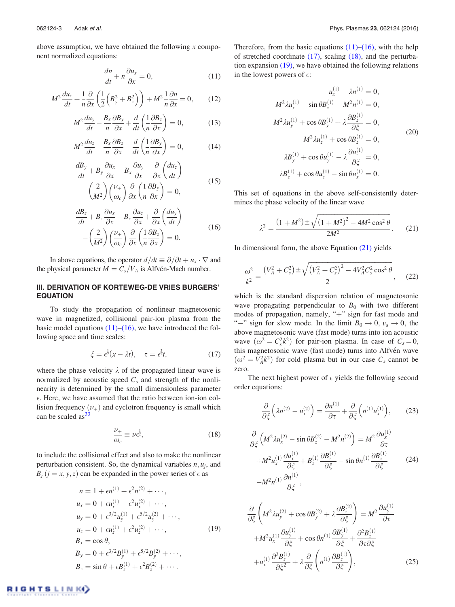above assumption, we have obtained the following  $x$  component normalized equations:

$$
\frac{dn}{dt} + n\frac{\partial u_x}{\partial x} = 0,\t(11)
$$

$$
M^2 \frac{du_x}{dt} + \frac{1}{n} \frac{\partial}{\partial x} \left( \frac{1}{2} \left( B_y^2 + B_z^2 \right) \right) + M^2 \frac{1}{n} \frac{\partial n}{\partial x} = 0, \qquad (12)
$$

$$
M^2 \frac{du_y}{dt} - \frac{B_x}{n} \frac{\partial B_y}{\partial x} + \frac{d}{dt} \left( \frac{1}{n} \frac{\partial B_z}{\partial x} \right) = 0, \tag{13}
$$

$$
M^2 \frac{du_z}{dt} - \frac{B_x}{n} \frac{\partial B_z}{\partial x} - \frac{d}{dt} \left( \frac{1}{n} \frac{\partial B_y}{\partial x} \right) = 0, \tag{14}
$$

$$
\frac{dB_y}{dt} + B_y \frac{\partial u_x}{\partial x} - B_x \frac{\partial u_y}{\partial x} - \frac{\partial}{\partial x} \left( \frac{du_z}{dt} \right) \n- \left( \frac{2}{M^2} \right) \left( \frac{\nu_+}{\omega_c} \right) \frac{\partial}{\partial x} \left( \frac{1}{n} \frac{\partial B_y}{\partial x} \right) = 0,
$$
\n(15)

$$
\frac{dB_z}{dt} + B_z \frac{\partial u_x}{\partial x} - B_x \frac{\partial u_z}{\partial x} + \frac{\partial}{\partial x} \left( \frac{du_y}{dt} \right)
$$
\n
$$
(16)
$$

$$
-\left(\frac{2}{M^2}\right)\left(\frac{\nu_+}{\omega_c}\right)\frac{\partial}{\partial x}\left(\frac{1}{n}\frac{\partial B_z}{\partial x}\right) = 0.
$$

In above equations, the operator  $d/dt \equiv \partial/\partial t + u_x \cdot \nabla$  and the physical parameter  $M = C_s/V_A$  is Alfvén-Mach number.

## III. DERIVATION OF KORTEWEG-DE VRIES BURGERS' EQUATION

To study the propagation of nonlinear magnetosonic wave in magnetized, collisional pair-ion plasma from the basic model equations  $(11)$ – $(16)$ , we have introduced the following space and time scales:

$$
\xi = \epsilon^{\frac{1}{2}}(x - \lambda t), \quad \tau = \epsilon^{\frac{3}{2}}t,\tag{17}
$$

where the phase velocity  $\lambda$  of the propagated linear wave is normalized by acoustic speed  $C_s$  and strength of the nonlinearity is determined by the small dimensionless parameter  $\epsilon$ . Here, we have assumed that the ratio between ion-ion collision frequency  $(\nu_+)$  and cyclotron frequency is small which can be scaled as $33$ 

$$
\frac{\nu_{+}}{\omega_{c}} \equiv \nu \epsilon^{\frac{1}{2}},\tag{18}
$$

to include the collisional effect and also to make the nonlinear perturbation consistent. So, the dynamical variables  $n, u_j$ , and  $B_i$   $(j = x, y, z)$  can be expanded in the power series of  $\epsilon$  as

GHTSLINK

$$
n = 1 + \epsilon n^{(1)} + \epsilon^2 n^{(2)} + \cdots,
$$
  
\n
$$
u_x = 0 + \epsilon u_x^{(1)} + \epsilon^2 u_x^{(2)} + \cdots,
$$
  
\n
$$
u_y = 0 + \epsilon^{3/2} u_y^{(1)} + \epsilon^{5/2} u_y^{(2)} + \cdots,
$$
  
\n
$$
u_z = 0 + \epsilon u_z^{(1)} + \epsilon^2 u_z^{(2)} + \cdots,
$$
  
\n
$$
B_x = \cos \theta,
$$
  
\n
$$
B_y = 0 + \epsilon^{3/2} B_y^{(1)} + \epsilon^{5/2} B_y^{(2)} + \cdots,
$$
  
\n
$$
B_z = \sin \theta + \epsilon B_z^{(1)} + \epsilon^2 B_z^{(2)} + \cdots.
$$
  
\n(19)

Therefore, from the basic equations  $(11)$ – $(16)$ , with the help of stretched coordinate (17), scaling (18), and the perturbation expansion (19), we have obtained the following relations in the lowest powers of  $\epsilon$ :

$$
u_x^{(1)} - \lambda n^{(1)} = 0,
$$
  
\n
$$
M^2 \lambda u_x^{(1)} - \sin \theta B_z^{(1)} - M^2 n^{(1)} = 0,
$$
  
\n
$$
M^2 \lambda u_y^{(1)} + \cos \theta B_y^{(1)} + \lambda \frac{\partial B_z^{(1)}}{\partial \xi} = 0,
$$
  
\n
$$
M^2 \lambda u_z^{(1)} + \cos \theta B_z^{(1)} = 0,
$$
  
\n
$$
\lambda B_y^{(1)} + \cos \theta u_y^{(1)} - \lambda \frac{\partial u_z^{(1)}}{\partial \xi} = 0,
$$
  
\n
$$
\lambda B_z^{(1)} + \cos \theta u_z^{(1)} - \sin \theta u_x^{(1)} = 0.
$$
  
\n(20)

This set of equations in the above self-consistently determines the phase velocity of the linear wave

$$
\lambda^2 = \frac{(1 + M^2) \pm \sqrt{(1 + M^2)^2 - 4M^2 \cos^2 \theta}}{2M^2}.
$$
 (21)

In dimensional form, the above Equation (21) yields

$$
\frac{\omega^2}{k^2} = \frac{(V_A^2 + C_s^2) \pm \sqrt{(V_A^2 + C_s^2)^2 - 4V_A^2 C_s^2 \cos^2 \theta}}{2},
$$
 (22)

which is the standard dispersion relation of magnetosonic wave propagating perpendicular to  $B_0$  with two different modes of propagation, namely, "+" sign for fast mode and "-" sign for slow mode. In the limit  $B_0 \to 0$ ,  $v_a \to 0$ , the above magnetosonic wave (fast mode) turns into ion acoustic wave  $(\omega^2 = C_s^2 k^2)$  for pair-ion plasma. In case of  $C_s = 0$ , this magnetosonic wave (fast mode) turns into Alfvén wave  $(\omega^2 = V_A^2 k^2)$  for cold plasma but in our case  $C_s$  cannot be zero.

The next highest power of  $\epsilon$  yields the following second order equations:

$$
\frac{\partial}{\partial \xi} \left( \lambda n^{(2)} - u_x^{(2)} \right) = \frac{\partial n^{(1)}}{\partial \tau} + \frac{\partial}{\partial \xi} \left( n^{(1)} u_x^{(1)} \right), \tag{23}
$$

$$
\frac{\partial}{\partial \xi} \left( M^2 \lambda u_x^{(2)} - \sin \theta B_z^{(2)} - M^2 n^{(2)} \right) = M^2 \frac{\partial u_x^{(1)}}{\partial \tau} + M^2 u_x^{(1)} \frac{\partial u_x^{(1)}}{\partial \xi} + B_z^{(1)} \frac{\partial B_z^{(1)}}{\partial \xi} - \sin \theta n^{(1)} \frac{\partial B_z^{(1)}}{\partial \xi}
$$
\n
$$
-M^2 n^{(1)} \frac{\partial n^{(1)}}{\partial \xi}, \qquad (24)
$$

$$
\frac{\partial}{\partial \xi} \left( M^2 \lambda u_y^{(2)} + \cos \theta B_y^{(2)} + \lambda \frac{\partial B_z^{(2)}}{\partial \xi} \right) = M^2 \frac{\partial u_y^{(1)}}{\partial \tau} \n+ M^2 u_x^{(1)} \frac{\partial u_y^{(1)}}{\partial \xi} + \cos \theta n^{(1)} \frac{\partial B_y^{(1)}}{\partial \xi} + \frac{\partial^2 B_z^{(1)}}{\partial \tau \partial \xi} \n+ u_x^{(1)} \frac{\partial^2 B_z^{(1)}}{\partial \xi^2} + \lambda \frac{\partial}{\partial \xi} \left( n^{(1)} \frac{\partial B_z^{(1)}}{\partial \xi} \right),
$$
\n(25)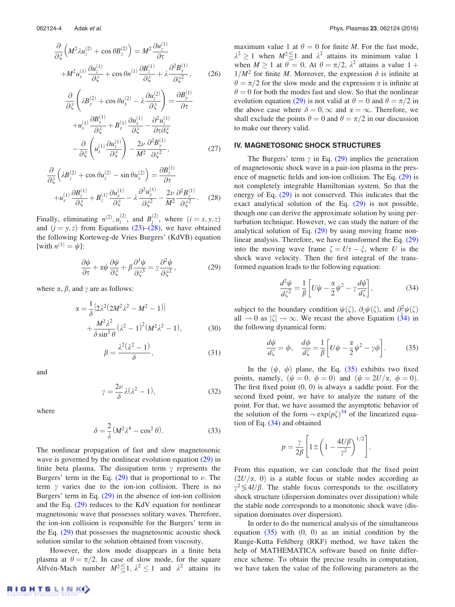$$
\frac{\partial}{\partial \xi} \left( M^2 \lambda u_z^{(2)} + \cos \theta B_z^{(2)} \right) = M^2 \frac{\partial u_z^{(1)}}{\partial \tau} + M^2 u_x^{(1)} \frac{\partial u_z^{(1)}}{\partial \xi} + \cos \theta n^{(1)} \frac{\partial B_z^{(1)}}{\partial \xi} + \lambda \frac{\partial^2 B_y^{(1)}}{\partial \xi^2},
$$
(26)

$$
\frac{\partial}{\partial \xi} \left( \lambda B_y^{(2)} + \cos \theta u_y^{(2)} - \lambda \frac{\partial u_z^{(2)}}{\partial \xi} \right) = \frac{\partial B_y^{(1)}}{\partial \tau} \n+ u_x^{(1)} \frac{\partial B_y^{(1)}}{\partial \xi} + B_y^{(1)} \frac{\partial u_x^{(1)}}{\partial \xi} - \frac{\partial^2 u_z^{(1)}}{\partial \tau \partial \xi} \n- \frac{\partial}{\partial \xi} \left( u_x^{(1)} \frac{\partial u_z^{(1)}}{\partial \xi} \right) - \frac{2\nu}{M^2} \frac{\partial^2 B_y^{(1)}}{\partial \xi^2},
$$
\n(27)

$$
\frac{\partial}{\partial \xi} \left( \lambda B_z^{(2)} + \cos \theta u_z^{(2)} - \sin \theta u_x^{(2)} \right) = \frac{\partial B_z^{(1)}}{\partial \tau} \n+ u_x^{(1)} \frac{\partial B_z^{(1)}}{\partial \xi} + B_z^{(1)} \frac{\partial u_x^{(1)}}{\partial \xi} - \lambda \frac{\partial^2 u_y^{(1)}}{\partial \xi^2} - \frac{2\nu}{M^2} \frac{\partial^2 B_z^{(1)}}{\partial \xi^2}.
$$
\n(28)

Finally, eliminating  $n^{(2)}$ ,  $u_i^{(2)}$ , and  $B_j^{(2)}$ , where  $(i = x, y, z)$ and  $(j = y, z)$  from Equations (23)–(28), we have obtained the following Korteweg-de Vries Burgers' (KdVB) equation [with  $n^{(1)} = \psi$ ]:

$$
\frac{\partial \psi}{\partial \tau} + \alpha \psi \frac{\partial \psi}{\partial \xi} + \beta \frac{\partial^3 \psi}{\partial \xi^3} = \gamma \frac{\partial^2 \psi}{\partial \xi^2},\tag{29}
$$

where  $\alpha$ ,  $\beta$ , and  $\gamma$  are as follows:

$$
\alpha = \frac{1}{\delta} \left[ 2\lambda^2 (2M^2 \lambda^2 - M^2 - 1) \right] + \frac{M^2 \lambda^2}{\delta \sin^2 \theta} (\lambda^2 - 1)^2 (M^2 \lambda^2 - 1),
$$
 (30)

$$
\beta = \frac{\lambda^2 (\lambda^2 - 1)}{\delta},\tag{31}
$$

and

$$
\gamma = \frac{2\nu}{\delta} \lambda (\lambda^2 - 1),\tag{32}
$$

where

$$
\delta = \frac{2}{\lambda} (M^2 \lambda^4 - \cos^2 \theta). \tag{33}
$$

The nonlinear propagation of fast and slow magnetosonic wave is governed by the nonlinear evolution equation (29) in finite beta plasma. The dissipation term  $\gamma$  represents the Burgers' term in the Eq.  $(29)$  that is proportional to  $\nu$ . The term  $\gamma$  varies due to the ion-ion collision. There is no Burgers' term in Eq. (29) in the absence of ion-ion collision and the Eq.  $(29)$  reduces to the KdV equation for nonlinear magnetosonic wave that possesses solitary waves. Therefore, the ion-ion collision is responsible for the Burgers' term in the Eq. (29) that possesses the magnetosonic acoustic shock solution similar to the solution obtained from viscosity.

However, the slow mode disappears in a finite beta plasma at  $\theta = \pi/2$ . In case of slow mode, for the square Alfvén-Mach number  $M^2 \le 1$ ,  $\lambda^2 \le 1$  and  $\lambda^2$  attains its

maximum value 1 at  $\theta = 0$  for finite *M*. For the fast mode,  $\lambda^2 \ge 1$  when  $M^2 \le 1$  and  $\lambda^2$  attains its minimum value 1 when  $M \ge 1$  at  $\theta = 0$ . At  $\theta = \pi/2$ ,  $\lambda^2$  attains a value  $1 + \lambda$  $1/M^2$  for finite M. Moreover, the expression  $\delta$  is infinite at  $\theta = \pi/2$  for the slow mode and the expression  $\alpha$  is infinite at  $\theta = 0$  for both the modes fast and slow. So that the nonlinear evolution equation (29) is not valid at  $\theta = 0$  and  $\theta = \pi/2$  in the above case where  $\delta = 0$ ,  $\infty$  and  $\alpha = \infty$ . Therefore, we shall exclude the points  $\theta = 0$  and  $\theta = \pi/2$  in our discussion to make our theory valid.

## IV. MAGNETOSONIC SHOCK STRUCTURES

The Burgers' term  $\gamma$  in Eq. (29) implies the generation of magnetosonic shock wave in a pair-ion plasma in the presence of magnetic fields and ion-ion collision. The Eq. (29) is not completely integrable Hamiltonian system. So that the energy of Eq. (29) is not conserved. This indicates that the exact analytical solution of the Eq. (29) is not possible, though one can derive the approximate solution by using perturbation technique. However, we can study the nature of the analytical solution of Eq. (29) by using moving frame nonlinear analysis. Therefore, we have transformed the Eq. (29) into the moving wave frame  $\zeta = U\tau - \xi$ , where U is the shock wave velocity. Then the first integral of the transformed equation leads to the following equation:

$$
\frac{d^2\psi}{d\zeta^2} = \frac{1}{\beta} \left[ U\psi - \frac{\alpha}{2}\psi^2 - \gamma \frac{d\psi}{d\zeta} \right],\tag{34}
$$

subject to the boundary condition  $\psi(\zeta)$ ,  $\partial_{\zeta}\psi(\zeta)$ , and  $\partial_{\zeta}^{2}\psi(\zeta)$ all  $\rightarrow$  0 as  $|\zeta| \rightarrow \infty$ . We recast the above Equation (34) in the following dynamical form:

$$
\frac{d\psi}{d\zeta} = \phi, \quad \frac{d\phi}{d\zeta} = \frac{1}{\beta} \left[ U\psi - \frac{\alpha}{2}\psi^2 - \gamma\phi \right].
$$
 (35)

In the  $(\psi, \phi)$  plane, the Eq. (35) exhibits two fixed points, namely,  $(\psi = 0, \phi = 0)$  and  $(\psi = 2U/\alpha, \phi = 0)$ . The first fixed point (0, 0) is always a saddle point. For the second fixed point, we have to analyze the nature of the point. For that, we have assumed the asymptotic behavior of the solution of the form  $\sim \exp(p\zeta)^{34}$  of the linearized equation of Eq. (34) and obtained

$$
p = \frac{\gamma}{2\beta} \left[ 1 \pm \left( 1 - \frac{4U\beta}{\gamma^2} \right)^{1/2} \right].
$$

From this equation, we can conclude that the fixed point  $(2U/\alpha, 0)$  is a stable focus or stable nodes according as  $\gamma^2 \leq 4U\beta$ . The stable focus corresponds to the oscillatory shock structure (dispersion dominates over dissipation) while the stable node corresponds to a monotonic shock wave (dissipation dominates over dispersion).

In order to do the numerical analysis of the simultaneous equation  $(35)$  with  $(0, 0)$  as an initial condition by the Runge-Kutta Fehlberg (RKF) method, we have taken the help of MATHEMATICA software based on finite difference scheme. To obtain the precise results in computation, we have taken the value of the following parameters as the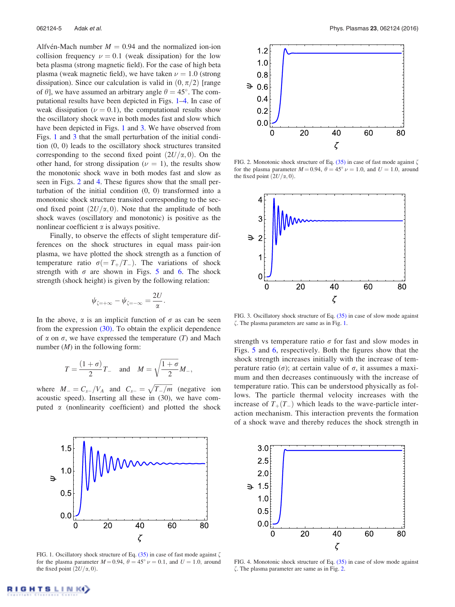Alfvén-Mach number  $M = 0.94$  and the normalized ion-ion collision frequency  $\nu = 0.1$  (weak dissipation) for the low beta plasma (strong magnetic field). For the case of high beta plasma (weak magnetic field), we have taken  $\nu = 1.0$  (strong dissipation). Since our calculation is valid in  $(0, \pi/2)$  [range of  $\theta$ ], we have assumed an arbitrary angle  $\theta = 45^{\circ}$ . The computational results have been depicted in Figs. 1–4. In case of weak dissipation ( $\nu = 0.1$ ), the computational results show the oscillatory shock wave in both modes fast and slow which have been depicted in Figs. 1 and 3. We have observed from Figs. 1 and 3 that the small perturbation of the initial condition (0, 0) leads to the oscillatory shock structures transited corresponding to the second fixed point  $(2U/\alpha, 0)$ . On the other hand, for strong dissipation ( $\nu = 1$ ), the results show the monotonic shock wave in both modes fast and slow as seen in Figs. 2 and 4. These figures show that the small perturbation of the initial condition (0, 0) transformed into a monotonic shock structure transited corresponding to the second fixed point  $(2U/\alpha, 0)$ . Note that the amplitude of both shock waves (oscillatory and monotonic) is positive as the nonlinear coefficient  $\alpha$  is always positive.

Finally, to observe the effects of slight temperature differences on the shock structures in equal mass pair-ion plasma, we have plotted the shock strength as a function of temperature ratio  $\sigma (= T_+/T_-)$ . The variations of shock strength with  $\sigma$  are shown in Figs. 5 and 6. The shock strength (shock height) is given by the following relation:

$$
\psi_{\zeta=+\infty}-\psi_{\zeta=-\infty}=\frac{2U}{\alpha}.
$$

In the above,  $\alpha$  is an implicit function of  $\sigma$  as can be seen from the expression  $(30)$ . To obtain the explicit dependence of  $\alpha$  on  $\sigma$ , we have expressed the temperature (T) and Mach number  $(M)$  in the following form:

$$
T = \frac{(1+\sigma)}{2}T_{-} \quad \text{and} \quad M = \sqrt{\frac{1+\sigma}{2}}M_{-},
$$

where  $M_{-}=C_{s-}/V_{A}$  and  $C_{s-}=\sqrt{T_{-}/m}$  (negative ion acoustic speed). Inserting all these in (30), we have computed  $\alpha$  (nonlinearity coefficient) and plotted the shock



FIG. 1. Oscillatory shock structure of Eq.  $(35)$  in case of fast mode against  $\zeta$ for the plasma parameter  $M = 0.94$ ,  $\theta = 45^{\circ} \nu = 0.1$ , and  $U = 1.0$ , around the fixed point  $(2U/\alpha, 0)$ .



FIG. 2. Monotonic shock structure of Eq.  $(35)$  in case of fast mode against  $\zeta$ for the plasma parameter  $M = 0.94$ ,  $\theta = 45^{\circ} \nu = 1.0$ , and  $U = 1.0$ , around the fixed point  $(2U/\alpha, 0)$ .



FIG. 3. Oscillatory shock structure of Eq. (35) in case of slow mode against  $\zeta$ . The plasma parameters are same as in Fig. 1.

strength vs temperature ratio  $\sigma$  for fast and slow modes in Figs. 5 and 6, respectively. Both the figures show that the shock strength increases initially with the increase of temperature ratio ( $\sigma$ ); at certain value of  $\sigma$ , it assumes a maximum and then decreases continuously with the increase of temperature ratio. This can be understood physically as follows. The particle thermal velocity increases with the increase of  $T_+(T_-)$  which leads to the wave-particle interaction mechanism. This interaction prevents the formation of a shock wave and thereby reduces the shock strength in



FIG. 4. Monotonic shock structure of Eq. (35) in case of slow mode against  $\zeta$ . The plasma parameter are same as in Fig. 2.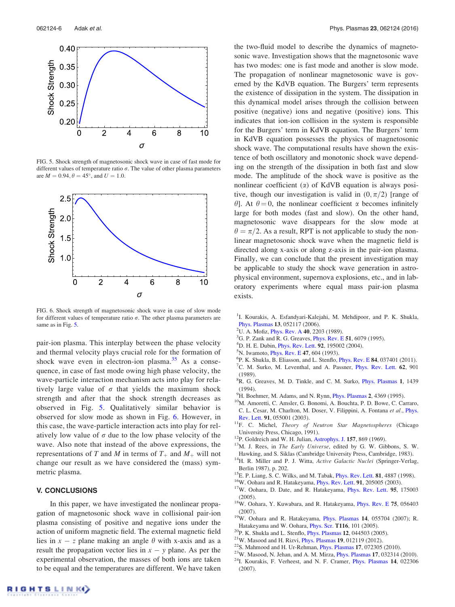

FIG. 5. Shock strength of magnetosonic shock wave in case of fast mode for different values of temperature ratio  $\sigma$ . The value of other plasma parameters are  $M = 0.94, \theta = 45^{\circ}$ , and  $U = 1.0$ .



FIG. 6. Shock strength of magnetosonic shock wave in case of slow mode for different values of temperature ratio  $\sigma$ . The other plasma parameters are same as in Fig. 5.

pair-ion plasma. This interplay between the phase velocity and thermal velocity plays crucial role for the formation of shock wave even in electron-ion plasma. $35$  As a consequence, in case of fast mode owing high phase velocity, the wave-particle interaction mechanism acts into play for relatively large value of  $\sigma$  that yields the maximum shock strength and after that the shock strength decreases as observed in Fig. 5. Qualitatively similar behavior is observed for slow mode as shown in Fig. 6. However, in this case, the wave-particle interaction acts into play for relatively low value of  $\sigma$  due to the low phase velocity of the wave. Also note that instead of the above expressions, the representations of T and M in terms of  $T_+$  and  $M_+$  will not change our result as we have considered the (mass) symmetric plasma.

## V. CONCLUSIONS

In this paper, we have investigated the nonlinear propagation of magnetosonic shock wave in collisional pair-ion plasma consisting of positive and negative ions under the action of uniform magnetic field. The external magnetic field lies in  $x - z$  plane making an angle  $\theta$  with x-axis and as a result the propagation vector lies in  $x - y$  plane. As per the experimental observation, the masses of both ions are taken to be equal and the temperatures are different. We have taken the two-fluid model to describe the dynamics of magnetosonic wave. Investigation shows that the magnetosonic wave has two modes: one is fast mode and another is slow mode. The propagation of nonlinear magnetosonic wave is governed by the KdVB equation. The Burgers' term represents the existence of dissipation in the system. The dissipation in this dynamical model arises through the collision between positive (negative) ions and negative (positive) ions. This indicates that ion-ion collision in the system is responsible for the Burgers' term in KdVB equation. The Burgers' term in KdVB equation possesses the physics of magnetosonic shock wave. The computational results have shown the existence of both oscillatory and monotonic shock wave depending on the strength of the dissipation in both fast and slow mode. The amplitude of the shock wave is positive as the nonlinear coefficient  $(\alpha)$  of KdVB equation is always positive, though our investigation is valid in  $(0, \pi/2)$  [range of  $\theta$ ]. At  $\theta = 0$ , the nonlinear coefficient  $\alpha$  becomes infinitely large for both modes (fast and slow). On the other hand, magnetosonic wave disappears for the slow mode at  $\theta = \pi/2$ . As a result, RPT is not applicable to study the nonlinear magnetosonic shock wave when the magnetic field is directed along x-axis or along z-axis in the pair-ion plasma. Finally, we can conclude that the present investigation may be applicable to study the shock wave generation in astrophysical environment, supernova explosions, etc., and in laboratory experiments where equal mass pair-ion plasma exists.

- <sup>1</sup>I. Kourakis, A. Esfandyari-Kalejahi, M. Mehdipoor, and P. K. Shukla, Phys. Plasmas 13, 052117 (2006).
- <sup>2</sup>U. A. Mofiz, *Phys. Rev. A* 40, 2203 (1989).
- <sup>3</sup>G. P. Zank and R. G. Greaves, *Phys. Rev. E* 51, 6079 (1995).
- ${}^{4}$ D. H. E. Dubin, *Phys. Rev. Lett.* 92, 195002 (2004).
- <sup>5</sup>N. Iwamoto, *Phys. Rev. E* 47, 604 (1993).
- 6 P. K. Shukla, B. Eliasson, and L. Stenflo, Phys. Rev. E 84, 037401 (2011).
- <sup>7</sup>C. M. Surko, M. Leventhal, and A. Passner, *Phys. Rev. Lett.* **62**, 901 (1989).
- <sup>8</sup>R. G. Greaves, M. D. Tinkle, and C. M. Surko, Phys. Plasmas 1, 1439 (1994).
- $^{9}$ H. Boehmer, M. Adams, and N. Rynn, *Phys. Plasmas* 2, 4369 (1995).
- <sup>10</sup>M. Amoretti, C. Amsler, G. Bonomi, A. Bouchta, P. D. Bowe, C. Carraro, C. L. Cesar, M. Charlton, M. Doser, V. Filippini, A. Fontana et al., Phys. Rev. Lett. 91, 055001 (2003).
- <sup>11</sup>F. C. Michel, *Theory of Neutron Star Magnetospheres* (Chicago University Press, Chicago, 1991).
- <sup>12</sup>P. Goldreich and W. H. Julian, Astrophys. J. 157, 869 (1969).
- <sup>13</sup>M. J. Rees, in *The Early Universe*, edited by G. W. Gibbons, S. W. Hawking, and S. Siklas (Cambridge University Press, Cambridge, 1983).
- <sup>14</sup>H. R. Miller and P. J. Witta, Active Galactic Nuclei (Springer-Verlag, Berlin 1987), p. 202.
- <sup>15</sup>E. P. Liang, S. C. Wilks, and M. Tabak, *Phys. Rev. Lett.* **81**, 4887 (1998).
- $^{16}$ W. Oohara and R. Hatakeyama, *Phys. Rev. Lett.* **91**, 205005 (2003).
- <sup>17</sup>W. Oohara, D. Date, and R. Hatakeyama, *Phys. Rev. Lett.* 95, 175003 (2005).
- <sup>18</sup>W. Oohara, Y. Kuwabara, and R. Hatakeyama, *Phys. Rev. E* 75, 056403 (2007).
- <sup>19</sup>W. Oohara and R. Hatakeyama, *Phys. Plasmas* 14, 055704 (2007); R. Hatakeyama and W. Oohara, Phys. Scr. T116, 101 (2005).
- $20P$ . K. Shukla and L. Stenflo, *Phys. Plasmas* 12, 044503 (2005).
- $^{21}$ W. Masood and H. Rizvi, *Phys. Plasmas* 19, 012119 (2012).
- $22$ S. Mahmood and H. Ur-Rehman, *Phys. Plasmas* 17, 072305 (2010).
- $23$ W. Masood, N. Jehan, and A. M. Mirza, *Phys. Plasmas* 17, 032314 (2010).
- <sup>24</sup>I. Kourakis, F. Verheest, and N. F. Cramer, Phys. Plasmas 14, 022306 (2007).